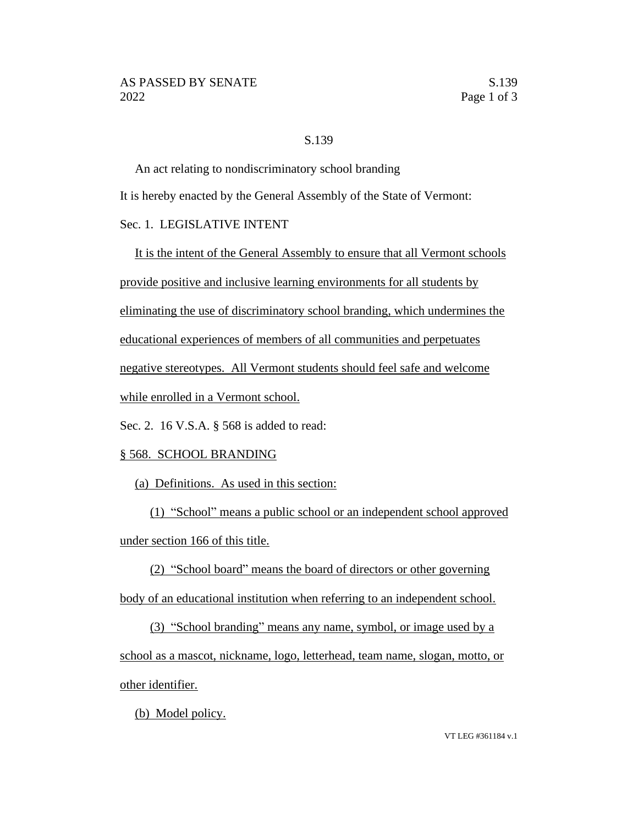## S.139

An act relating to nondiscriminatory school branding

It is hereby enacted by the General Assembly of the State of Vermont:

## Sec. 1. LEGISLATIVE INTENT

It is the intent of the General Assembly to ensure that all Vermont schools provide positive and inclusive learning environments for all students by eliminating the use of discriminatory school branding, which undermines the educational experiences of members of all communities and perpetuates negative stereotypes. All Vermont students should feel safe and welcome while enrolled in a Vermont school.

Sec. 2. 16 V.S.A. § 568 is added to read:

## § 568. SCHOOL BRANDING

(a) Definitions. As used in this section:

(1) "School" means a public school or an independent school approved under section 166 of this title.

(2) "School board" means the board of directors or other governing body of an educational institution when referring to an independent school.

(3) "School branding" means any name, symbol, or image used by a school as a mascot, nickname, logo, letterhead, team name, slogan, motto, or other identifier.

(b) Model policy.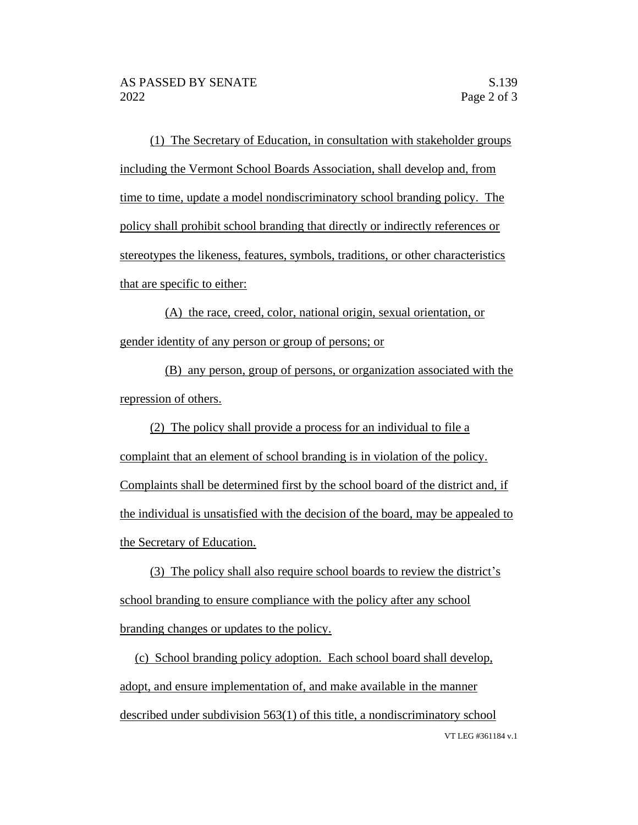(1) The Secretary of Education, in consultation with stakeholder groups including the Vermont School Boards Association, shall develop and, from time to time, update a model nondiscriminatory school branding policy. The policy shall prohibit school branding that directly or indirectly references or stereotypes the likeness, features, symbols, traditions, or other characteristics that are specific to either:

(A) the race, creed, color, national origin, sexual orientation, or gender identity of any person or group of persons; or

(B) any person, group of persons, or organization associated with the repression of others.

(2) The policy shall provide a process for an individual to file a complaint that an element of school branding is in violation of the policy. Complaints shall be determined first by the school board of the district and, if the individual is unsatisfied with the decision of the board, may be appealed to the Secretary of Education.

(3) The policy shall also require school boards to review the district's school branding to ensure compliance with the policy after any school branding changes or updates to the policy.

VT LEG #361184 v.1 (c) School branding policy adoption. Each school board shall develop, adopt, and ensure implementation of, and make available in the manner described under subdivision 563(1) of this title, a nondiscriminatory school